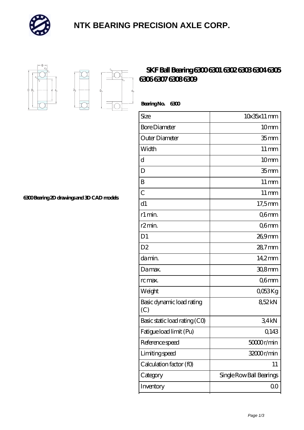

## **[NTK BEARING PRECISION AXLE CORP.](https://m.simonshaus.com)**



 $D_a$ 

Ď.

## **[SKF Ball Bearing 6300 6301 6302 6303 6304 6305](https://m.simonshaus.com/af-65282662-skf-ball-bearing-6300-6301-6302-6303-6304-6305-6306-6307-6308-6309.html) [6306 6307 6308 6309](https://m.simonshaus.com/af-65282662-skf-ball-bearing-6300-6301-6302-6303-6304-6305-6306-6307-6308-6309.html)**

 **Bearing No. 6300**

| Size                             | $10x35x11$ mm            |
|----------------------------------|--------------------------|
| <b>Bore Diameter</b>             | 10mm                     |
| Outer Diameter                   | 35 <sub>mm</sub>         |
| Width                            | $11 \,\mathrm{mm}$       |
| d                                | 10 <sub>mm</sub>         |
| D                                | 35 <sub>mm</sub>         |
| Β                                | $11 \,\mathrm{mm}$       |
| $\overline{C}$                   | $11 \,\mathrm{mm}$       |
| d1                               | 17,5mm                   |
| r1 min.                          | Q6mm                     |
| r <sub>2</sub> min.              | Q6mm                     |
| D <sub>1</sub>                   | 26,9mm                   |
| D <sub>2</sub>                   | 28,7mm                   |
| da min.                          | 14,2mm                   |
| Damax.                           | 30,8mm                   |
| rc max.                          | Q6mm                     |
| Weight                           | QO53Kg                   |
| Basic dynamic load rating<br>(C) | 852kN                    |
| Basic static load rating (CO)    | 34kN                     |
| Fatigue load limit (Pu)          | Q143                     |
| Reference speed                  | 50000r/min               |
| Limiting speed                   | 32000r/min               |
| Calculation factor (f0)          | 11                       |
| Category                         | Single Row Ball Bearings |
| Inventory                        | $00\,$                   |

**[6300 Bearing 2D drawings and 3D CAD models](https://m.simonshaus.com/pic-65282662.html)**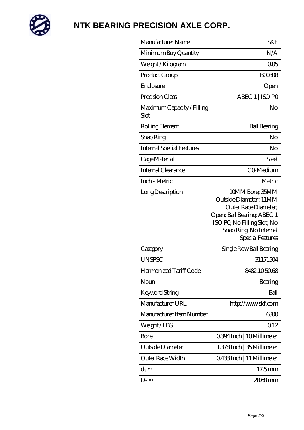

## **[NTK BEARING PRECISION AXLE CORP.](https://m.simonshaus.com)**

| N/A<br>005<br><b>BOO3O8</b><br>Open<br>ABEC 1   ISO PO<br>No<br><b>Ball Bearing</b><br>No                                                                                    |
|------------------------------------------------------------------------------------------------------------------------------------------------------------------------------|
|                                                                                                                                                                              |
|                                                                                                                                                                              |
|                                                                                                                                                                              |
|                                                                                                                                                                              |
|                                                                                                                                                                              |
|                                                                                                                                                                              |
|                                                                                                                                                                              |
|                                                                                                                                                                              |
| No                                                                                                                                                                           |
| Steel                                                                                                                                                                        |
| CO-Medium                                                                                                                                                                    |
| Metric                                                                                                                                                                       |
| 10MM Bore; 35MM<br>Outside Diameter; 11MM<br>Outer Race Diameter:<br>Open; Ball Bearing; ABEC 1<br>ISO PO, No Filling Slot; No<br>Snap Ring, No Internal<br>Special Features |
| Single Row Ball Bearing                                                                                                                                                      |
| 31171504                                                                                                                                                                     |
| 8482105068                                                                                                                                                                   |
| Bearing                                                                                                                                                                      |
| Ball                                                                                                                                                                         |
| http://www.skf.com                                                                                                                                                           |
| 6300                                                                                                                                                                         |
| Q 12                                                                                                                                                                         |
| 0.394 Inch   10 Millimeter                                                                                                                                                   |
| 1.378 Inch   35 Millimeter                                                                                                                                                   |
| 0.433Inch   11 Millimeter                                                                                                                                                    |
| $17.5$ mm                                                                                                                                                                    |
| 2868mm                                                                                                                                                                       |
|                                                                                                                                                                              |